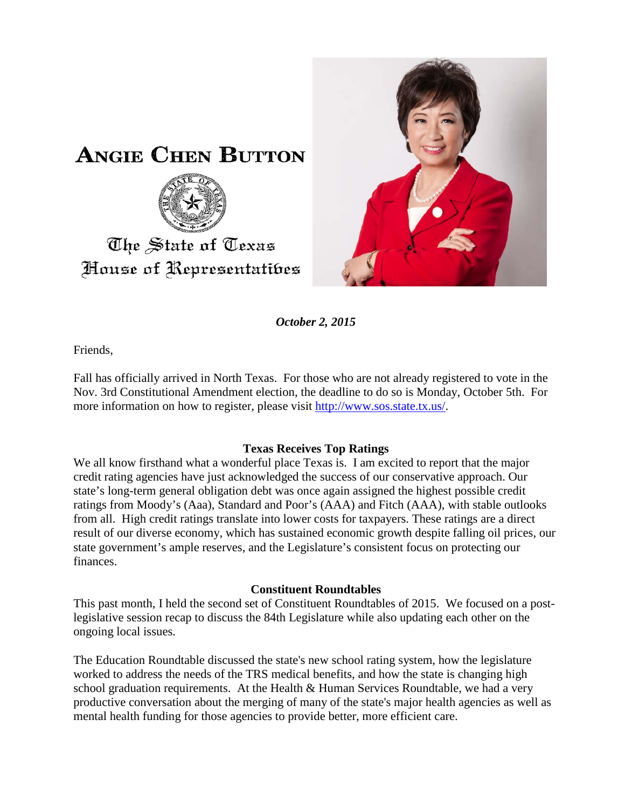



*October 2, 2015*

Friends,

Fall has officially arrived in North Texas. For those who are not already registered to vote in the Nov. 3rd Constitutional Amendment election, the deadline to do so is Monday, October 5th. For more information on how to register, please visit [http://www.sos.state.tx.us/.](http://www.sos.state.tx.us/)

## **Texas Receives Top Ratings**

We all know firsthand what a wonderful place Texas is. I am excited to report that the major credit rating agencies have just acknowledged the success of our conservative approach. Our state's long-term general obligation debt was once again assigned the highest possible credit ratings from Moody's (Aaa), Standard and Poor's (AAA) and Fitch (AAA), with stable outlooks from all. High credit ratings translate into lower costs for taxpayers. These ratings are a direct result of our diverse economy, which has sustained economic growth despite falling oil prices, our state government's ample reserves, and the Legislature's consistent focus on protecting our finances.

## **Constituent Roundtables**

This past month, I held the second set of Constituent Roundtables of 2015. We focused on a postlegislative session recap to discuss the 84th Legislature while also updating each other on the ongoing local issues.

The Education Roundtable discussed the state's new school rating system, how the legislature worked to address the needs of the TRS medical benefits, and how the state is changing high school graduation requirements. At the Health  $&$  Human Services Roundtable, we had a very productive conversation about the merging of many of the state's major health agencies as well as mental health funding for those agencies to provide better, more efficient care.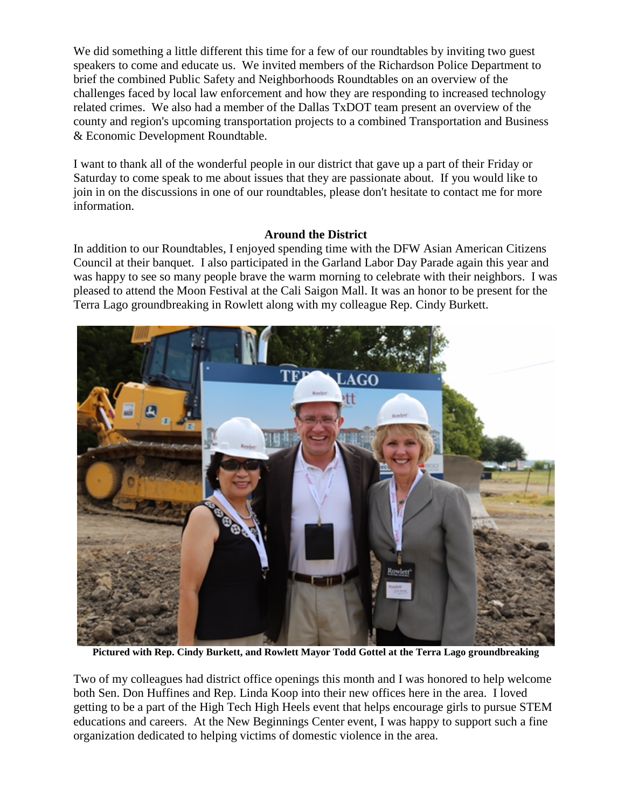We did something a little different this time for a few of our roundtables by inviting two guest speakers to come and educate us. We invited members of the Richardson Police Department to brief the combined Public Safety and Neighborhoods Roundtables on an overview of the challenges faced by local law enforcement and how they are responding to increased technology related crimes. We also had a member of the Dallas TxDOT team present an overview of the county and region's upcoming transportation projects to a combined Transportation and Business & Economic Development Roundtable.

I want to thank all of the wonderful people in our district that gave up a part of their Friday or Saturday to come speak to me about issues that they are passionate about. If you would like to join in on the discussions in one of our roundtables, please don't hesitate to contact me for more information.

## **Around the District**

In addition to our Roundtables, I enjoyed spending time with the DFW Asian American Citizens Council at their banquet. I also participated in the Garland Labor Day Parade again this year and was happy to see so many people brave the warm morning to celebrate with their neighbors. I was pleased to attend the Moon Festival at the Cali Saigon Mall. It was an honor to be present for the Terra Lago groundbreaking in Rowlett along with my colleague Rep. Cindy Burkett.



**Pictured with Rep. Cindy Burkett, and Rowlett Mayor Todd Gottel at the Terra Lago groundbreaking**

Two of my colleagues had district office openings this month and I was honored to help welcome both Sen. Don Huffines and Rep. Linda Koop into their new offices here in the area. I loved getting to be a part of the High Tech High Heels event that helps encourage girls to pursue STEM educations and careers. At the New Beginnings Center event, I was happy to support such a fine organization dedicated to helping victims of domestic violence in the area.